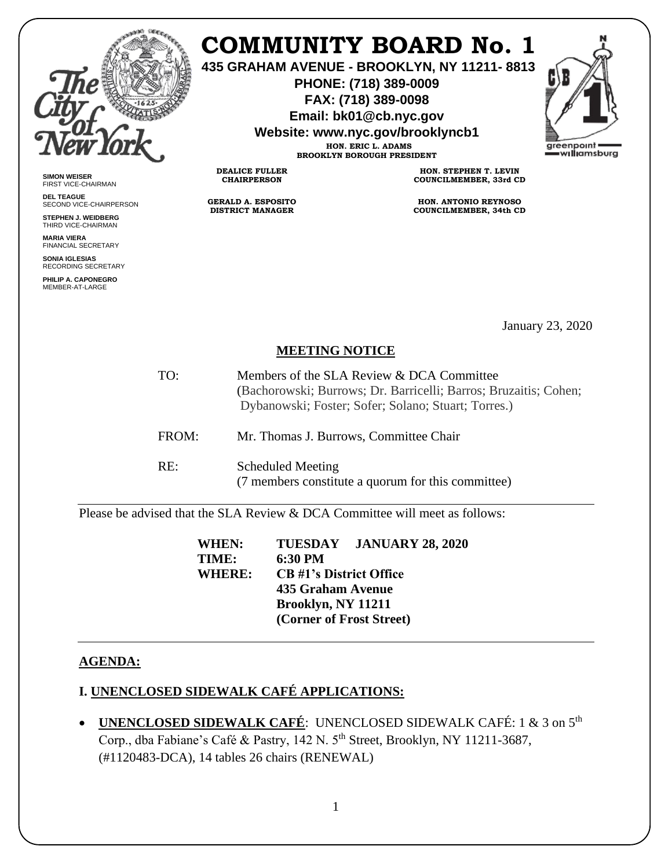

**SIMON WEISER** FIRST VICE-CHAIRMAN **DEL TEAGUE**

SECOND VICE-CHAIRPERSON **STEPHEN J. WEIDBERG** THIRD VICE-CHAIRMAN **MARIA VIERA** FINANCIAL SECRETARY **SONIA IGLESIAS** RECORDING SECRETARY **PHILIP A. CAPONEGRO** MEMBER-AT-LARGE

# **COMMUNITY BOARD No. 1**

**435 GRAHAM AVENUE - BROOKLYN, NY 11211- 8813**

**PHONE: (718) 389-0009 FAX: (718) 389-0098**

**Email: bk01@cb.nyc.gov**

**Website: www.nyc.gov/brooklyncb1**

**HON. ERIC L. ADAMS BROOKLYN BOROUGH PRESIDENT**

**DEALICE FULLER CHAIRPERSON**

**GERALD A. ESPOSITO DISTRICT MANAGER**

**HON. STEPHEN T. LEVIN COUNCILMEMBER, 33rd CD**

**HON. ANTONIO REYNOSO COUNCILMEMBER, 34th CD**

January 23, 2020

## **MEETING NOTICE**

- TO: Members of the SLA Review & DCA Committee (Bachorowski; Burrows; Dr. Barricelli; Barros; Bruzaitis; Cohen; Dybanowski; Foster; Sofer; Solano; Stuart; Torres.)
- FROM: Mr. Thomas J. Burrows, Committee Chair
- RE: Scheduled Meeting (7 members constitute a quorum for this committee)

Please be advised that the SLA Review & DCA Committee will meet as follows:

**WHEN: TUESDAY JANUARY 28, 2020 TIME: 6:30 PM WHERE: CB #1's District Office 435 Graham Avenue Brooklyn, NY 11211 (Corner of Frost Street)**

## **AGENDA:**

# **I. UNENCLOSED SIDEWALK CAFÉ APPLICATIONS:**

• **UNENCLOSED SIDEWALK CAFÉ**: UNENCLOSED SIDEWALK CAFÉ: 1 & 3 on 5th Corp., dba Fabiane's Café & Pastry, 142 N. 5<sup>th</sup> Street, Brooklyn, NY 11211-3687, (#1120483-DCA), 14 tables 26 chairs (RENEWAL)

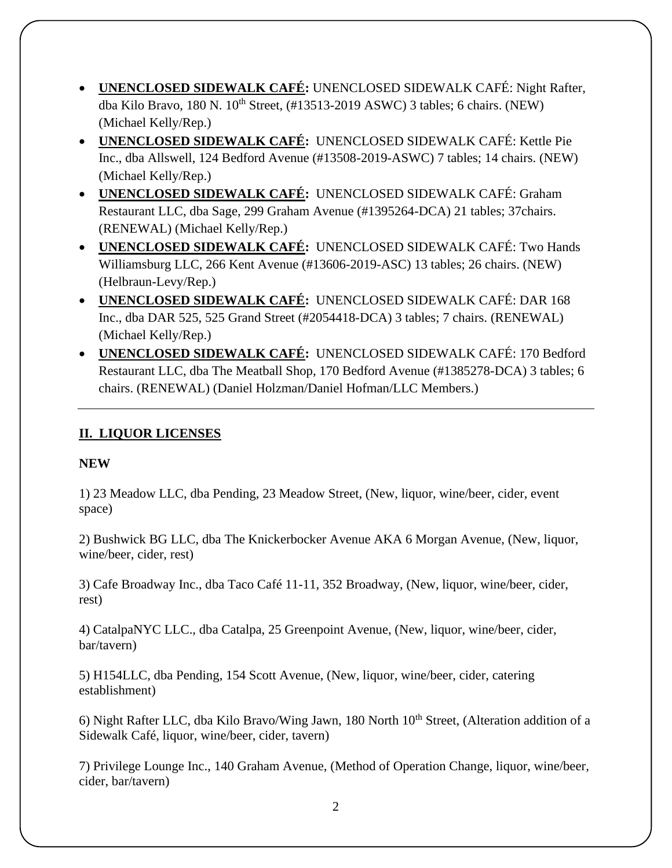- **UNENCLOSED SIDEWALK CAFÉ:** UNENCLOSED SIDEWALK CAFÉ: Night Rafter, dba Kilo Bravo, 180 N.  $10^{th}$  Street,  $(\text{\#}13513\text{-}2019 \text{ ASWC})$  3 tables; 6 chairs. (NEW) (Michael Kelly/Rep.)
- **UNENCLOSED SIDEWALK CAFÉ:** UNENCLOSED SIDEWALK CAFÉ: Kettle Pie Inc., dba Allswell, 124 Bedford Avenue (#13508-2019-ASWC) 7 tables; 14 chairs. (NEW) (Michael Kelly/Rep.)
- **UNENCLOSED SIDEWALK CAFÉ:** UNENCLOSED SIDEWALK CAFÉ: Graham Restaurant LLC, dba Sage, 299 Graham Avenue (#1395264-DCA) 21 tables; 37chairs. (RENEWAL) (Michael Kelly/Rep.)
- **UNENCLOSED SIDEWALK CAFÉ:** UNENCLOSED SIDEWALK CAFÉ: Two Hands Williamsburg LLC, 266 Kent Avenue (#13606-2019-ASC) 13 tables; 26 chairs. (NEW) (Helbraun-Levy/Rep.)
- **UNENCLOSED SIDEWALK CAFÉ:** UNENCLOSED SIDEWALK CAFÉ: DAR 168 Inc., dba DAR 525, 525 Grand Street (#2054418-DCA) 3 tables; 7 chairs. (RENEWAL) (Michael Kelly/Rep.)
- **UNENCLOSED SIDEWALK CAFÉ:** UNENCLOSED SIDEWALK CAFÉ: 170 Bedford Restaurant LLC, dba The Meatball Shop, 170 Bedford Avenue (#1385278-DCA) 3 tables; 6 chairs. (RENEWAL) (Daniel Holzman/Daniel Hofman/LLC Members.)

# **II. LIQUOR LICENSES**

## **NEW**

1) 23 Meadow LLC, dba Pending, 23 Meadow Street, (New, liquor, wine/beer, cider, event space)

2) Bushwick BG LLC, dba The Knickerbocker Avenue AKA 6 Morgan Avenue, (New, liquor, wine/beer, cider, rest)

3) Cafe Broadway Inc., dba Taco Café 11-11, 352 Broadway, (New, liquor, wine/beer, cider, rest)

4) CatalpaNYC LLC., dba Catalpa, 25 Greenpoint Avenue, (New, liquor, wine/beer, cider, bar/tavern)

5) H154LLC, dba Pending, 154 Scott Avenue, (New, liquor, wine/beer, cider, catering establishment)

6) Night Rafter LLC, dba Kilo Bravo/Wing Jawn, 180 North 10<sup>th</sup> Street, (Alteration addition of a Sidewalk Café, liquor, wine/beer, cider, tavern)

7) Privilege Lounge Inc., 140 Graham Avenue, (Method of Operation Change, liquor, wine/beer, cider, bar/tavern)